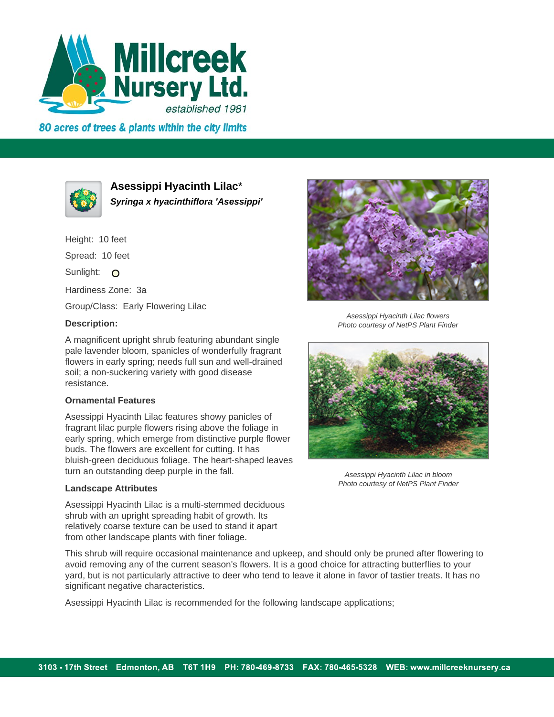

80 acres of trees & plants within the city limits



**Asessippi Hyacinth Lilac**\* **Syringa x hyacinthiflora 'Asessippi'**

Height: 10 feet Spread: 10 feet Sunlight: O Hardiness Zone: 3a Group/Class: Early Flowering Lilac

## **Description:**

A magnificent upright shrub featuring abundant single pale lavender bloom, spanicles of wonderfully fragrant flowers in early spring; needs full sun and well-drained soil; a non-suckering variety with good disease resistance.

## **Ornamental Features**

Asessippi Hyacinth Lilac features showy panicles of fragrant lilac purple flowers rising above the foliage in early spring, which emerge from distinctive purple flower buds. The flowers are excellent for cutting. It has bluish-green deciduous foliage. The heart-shaped leaves turn an outstanding deep purple in the fall.

## **Landscape Attributes**

Asessippi Hyacinth Lilac is a multi-stemmed deciduous shrub with an upright spreading habit of growth. Its relatively coarse texture can be used to stand it apart from other landscape plants with finer foliage.

This shrub will require occasional maintenance and upkeep, and should only be pruned after flowering to avoid removing any of the current season's flowers. It is a good choice for attracting butterflies to your yard, but is not particularly attractive to deer who tend to leave it alone in favor of tastier treats. It has no significant negative characteristics.

Asessippi Hyacinth Lilac is recommended for the following landscape applications;



Asessippi Hyacinth Lilac flowers Photo courtesy of NetPS Plant Finder



Asessippi Hyacinth Lilac in bloom Photo courtesy of NetPS Plant Finder